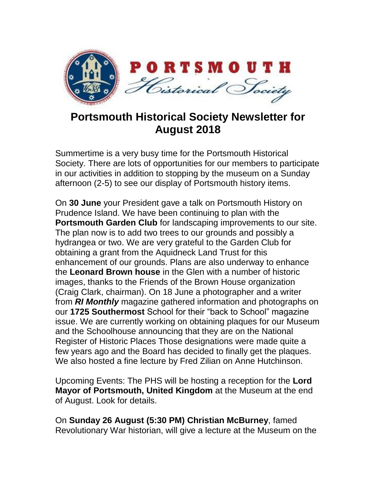

## **Portsmouth Historical Society Newsletter for August 2018**

Summertime is a very busy time for the Portsmouth Historical Society. There are lots of opportunities for our members to participate in our activities in addition to stopping by the museum on a Sunday afternoon (2-5) to see our display of Portsmouth history items.

On **30 June** your President gave a talk on Portsmouth History on Prudence Island. We have been continuing to plan with the **Portsmouth Garden Club** for landscaping improvements to our site. The plan now is to add two trees to our grounds and possibly a hydrangea or two. We are very grateful to the Garden Club for obtaining a grant from the Aquidneck Land Trust for this enhancement of our grounds. Plans are also underway to enhance the **Leonard Brown house** in the Glen with a number of historic images, thanks to the Friends of the Brown House organization (Craig Clark, chairman). On 18 June a photographer and a writer from *RI Monthly* magazine gathered information and photographs on our **1725 Southermost** School for their "back to School" magazine issue. We are currently working on obtaining plaques for our Museum and the Schoolhouse announcing that they are on the National Register of Historic Places Those designations were made quite a few years ago and the Board has decided to finally get the plaques. We also hosted a fine lecture by Fred Zilian on Anne Hutchinson.

Upcoming Events: The PHS will be hosting a reception for the **Lord Mayor of Portsmouth, United Kingdom** at the Museum at the end of August. Look for details.

On **Sunday 26 August (5:30 PM) Christian McBurney**, famed Revolutionary War historian, will give a lecture at the Museum on the